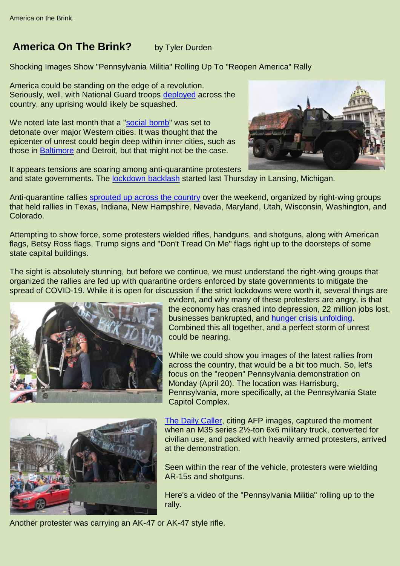## **America On The Brink?** by Tyler Durden

Shocking Images Show "Pennsylvania Militia" Rolling Up To "Reopen America" Rally

America could be standing on the edge of a revolution. Seriously, well, with National Guard troops [deployed](https://www.zerohedge.com/political/secret-national-guard-unit-ready-enforce-martial-law-washington-dc) across the country, any uprising would likely be squashed.

We noted late last month that a ["social bomb"](https://www.zerohedge.com/markets/west-faces-social-bomb-pandemic-sparks-unrest-among-poorest) was set to detonate over major Western cities. It was thought that the epicenter of unrest could begin deep within inner cities, such as those in [Baltimore](https://www.zerohedge.com/markets/martial-law-baltimore-residents-spot-national-guard-troops-across-state-amid-covid-19) and Detroit, but that might not be the case.



It appears tensions are soaring among anti-quarantine protesters and state governments. The **lockdown backlash** started last Thursday in Lansing, Michigan.

Anti-quarantine rallies [sprouted up across the country](https://www.zerohedge.com/political/across-america-social-unrest-unfolds-frustrated-people-demand-reopening-economy) over the weekend, organized by right-wing groups that held rallies in Texas, Indiana, New Hampshire, Nevada, Maryland, Utah, Wisconsin, Washington, and Colorado.

Attempting to show force, some protesters wielded rifles, handguns, and shotguns, along with American flags, Betsy Ross flags, Trump signs and "Don't Tread On Me" flags right up to the doorsteps of some state capital buildings.

The sight is absolutely stunning, but before we continue, we must understand the right-wing groups that organized the rallies are fed up with quarantine orders enforced by state governments to mitigate the spread of COVID-19. While it is open for discussion if the strict lockdowns were worth it, several things are



evident, and why many of these protesters are angry, is that the economy has crashed into depression, 22 million jobs lost, businesses bankrupted, and [hunger crisis unfolding.](https://www.zerohedge.com/health/breadlines-erupt-across-america-lockdowns-crush-americas-working-poor) Combined this all together, and a perfect storm of unrest could be nearing.

While we could show you images of the latest rallies from across the country, that would be a bit too much. So, let's focus on the "reopen" Pennsylvania demonstration on Monday (April 20). The location was Harrisburg, Pennsylvania, more specifically, at the Pennsylvania State Capitol Complex.



[The Daily Caller,](https://dailycaller.com/2020/04/20/protest-showdowns-coronavirus-guns-block-traffic-pennsylvania-kansas-city/) citing AFP images, captured the moment when an M35 series 2½-ton 6x6 military truck, converted for civilian use, and packed with heavily armed protesters, arrived at the demonstration.

Seen within the rear of the vehicle, protesters were wielding AR-15s and shotguns.

Here's a video of the "Pennsylvania Militia" rolling up to the rally.

Another protester was carrying an AK-47 or AK-47 style rifle.